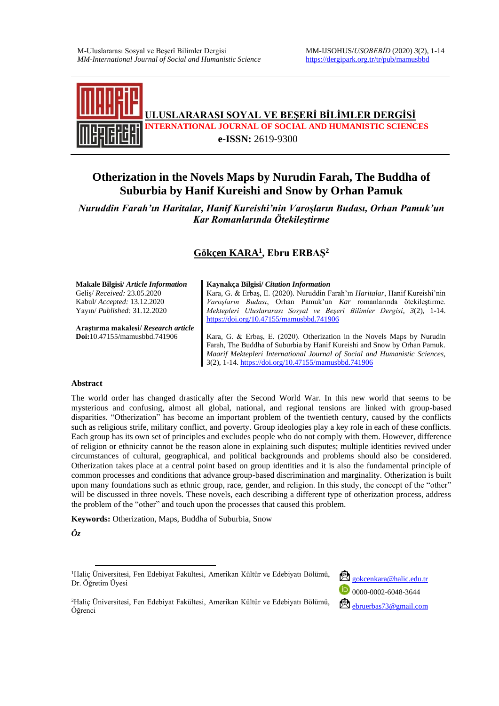

# **Otherization in the Novels Maps by Nurudin Farah, The Buddha of Suburbia by Hanif Kureishi and Snow by Orhan Pamuk**

*Nuruddin Farah'ın Haritalar, Hanif Kureishi'nin Varoşların Budası, Orhan Pamuk'un Kar Romanlarında Ötekileştirme*

## **Gökçen KARA<sup>1</sup> , Ebru ERBAŞ<sup>2</sup>**

**Makale Bilgisi/** *Article Information* **Kaynakça Bilgisi/** *Citation Information* Geliş/ *Received:* 23.05.2020 Kabul/ *Accepted:* 13.12.2020 Yayın/ *Published:* 31.12.2020 Kara, G. & Erbaş, E. (2020). Nuruddin Farah'ın *Haritalar*, Hanif Kureishi'nin *Varoşların Budası*, Orhan Pamuk'un *Kar* romanlarında ötekileştirme. *Mektepleri Uluslararası Sosyal ve Beşerî Bilimler Dergisi*, *3*(2), 1-14. <https://doi.org/10.47155/mamusbbd.741906> Kara, G. & Erbaş, E. (2020). Otherization in the Novels Maps by Nurudin **Araştırma makalesi/** *Research article* **Doi:**10.47155/mamusbbd.741906

Farah, The Buddha of Suburbia by Hanif Kureishi and Snow by Orhan Pamuk. *Maarif Mektepleri International Journal of Social and Humanistic Sciences,*  3(2), 1-14. <https://doi.org/10.47155/mamusbbd.741906>

#### **Abstract**

The world order has changed drastically after the Second World War. In this new world that seems to be mysterious and confusing, almost all global, national, and regional tensions are linked with group-based disparities. "Otherization" has become an important problem of the twentieth century, caused by the conflicts such as religious strife, military conflict, and poverty. Group ideologies play a key role in each of these conflicts. Each group has its own set of principles and excludes people who do not comply with them. However, difference of religion or ethnicity cannot be the reason alone in explaining such disputes; multiple identities revived under circumstances of cultural, geographical, and political backgrounds and problems should also be considered. Otherization takes place at a central point based on group identities and it is also the fundamental principle of common processes and conditions that advance group-based discrimination and marginality. Otherization is built upon many foundations such as ethnic group, race, gender, and religion. In this study, the concept of the "other" will be discussed in three novels. These novels, each describing a different type of otherization process, address the problem of the "other" and touch upon the processes that caused this problem.

**Keywords:** Otherization, Maps, Buddha of Suburbia, Snow



<sup>&</sup>lt;sup>1</sup>Haliç Üniversitesi, Fen Edebiyat Fakültesi, Amerikan Kültür ve Edebiyatı Bölümü, <sup>1</sup>Haliç Universitesi, Fen Edebiyat Fakültesi, Amerikan Kültür ve Edebiyatı Bolumu, Sokcenkara@halic.edu.tr<br>Dr. Öğretim Üyesi



<sup>2</sup>Haliç Üniversitesi, Fen Edebiyat Fakültesi, Amerikan Kültür ve Edebiyatı Bölümü, Öğrenci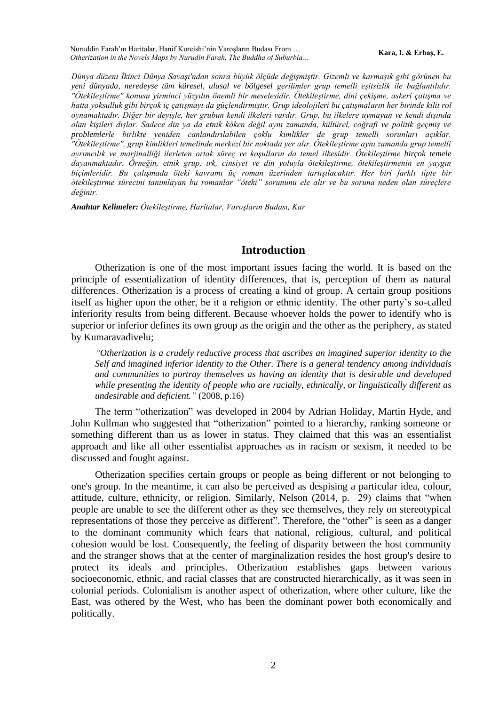*Dünya düzeni İkinci Dünya Savaşı'ndan sonra büyük ölçüde değişmiştir. Gizemli ve karmaşık gibi görünen bu yeni dünyada, neredeyse tüm küresel, ulusal ve bölgesel gerilimler grup temelli eşitsizlik ile bağlantılıdır. "Ötekileştirme" konusu yirminci yüzyılın önemli bir meselesidir. Ötekileştirme, dini çekişme, askeri çatışma ve hatta yoksulluk gibi birçok iç çatışmayı da güçlendirmiştir. Grup ideolojileri bu çatışmaların her birinde kilit rol oynamaktadır. Diğer bir deyişle, her grubun kendi ilkeleri vardır. Grup, bu ilkelere uymayan ve kendi dışında olan kişileri dışlar. Sadece din ya da etnik köken değil aynı zamanda, kültürel, coğrafi ve politik geçmiş ve problemlerle birlikte yeniden canlandırılabilen çoklu kimlikler de grup temelli sorunları açıklar. "Ötekileştirme", grup kimlikleri temelinde merkezi bir noktada yer alır. Ötekileştirme aynı zamanda grup temelli ayrımcılık ve marjinalliği ilerleten ortak süreç ve koşulların da temel ilkesidir. Ötekileştirme birçok temele dayanmaktadır. Örneğin, etnik grup, ırk, cinsiyet ve din yoluyla ötekileştirme, ötekileştirmenin en yaygın biçimleridir. Bu çalışmada öteki kavramı üç roman üzerinden tartışılacaktır. Her biri farklı tipte bir ötekileştirme sürecini tanımlayan bu romanlar "öteki" sorununu ele alır ve bu soruna neden olan süreçlere değinir.*

*Anahtar Kelimeler: Ötekileştirme, Haritalar, Varoşların Budası, Kar* 

### **Introduction**

Otherization is one of the most important issues facing the world. It is based on the principle of essentialization of identity differences, that is, perception of them as natural differences. Otherization is a process of creating a kind of group. A certain group positions itself as higher upon the other, be it a religion or ethnic identity. The other party's so-called inferiority results from being different. Because whoever holds the power to identify who is superior or inferior defines its own group as the origin and the other as the periphery, as stated by Kumaravadivelu;

*"Otherization is a crudely reductive process that ascribes an imagined superior identity to the Self and imagined inferior identity to the Other. There is a general tendency among individuals and communities to portray themselves as having an identity that is desirable and developed while presenting the identity of people who are racially, ethnically, or linguistically different as undesirable and deficient."* (2008, p.16)

The term "otherization" was developed in 2004 by Adrian Holiday, Martin Hyde, and John Kullman who suggested that "otherization" pointed to a hierarchy, ranking someone or something different than us as lower in status. They claimed that this was an essentialist approach and like all other essentialist approaches as in racism or sexism, it needed to be discussed and fought against.

Otherization specifies certain groups or people as being different or not belonging to one's group. In the meantime, it can also be perceived as despising a particular idea, colour, attitude, culture, ethnicity, or religion. Similarly, Nelson (2014, p. 29) claims that "when people are unable to see the different other as they see themselves, they rely on stereotypical representations of those they perceive as different". Therefore, the "other" is seen as a danger to the dominant community which fears that national, religious, cultural, and political cohesion would be lost. Consequently, the feeling of disparity between the host community and the stranger shows that at the center of marginalization resides the host group's desire to protect its ideals and principles. Otherization establishes gaps between various socioeconomic, ethnic, and racial classes that are constructed hierarchically, as it was seen in colonial periods. Colonialism is another aspect of otherization, where other culture, like the East, was othered by the West, who has been the dominant power both economically and politically.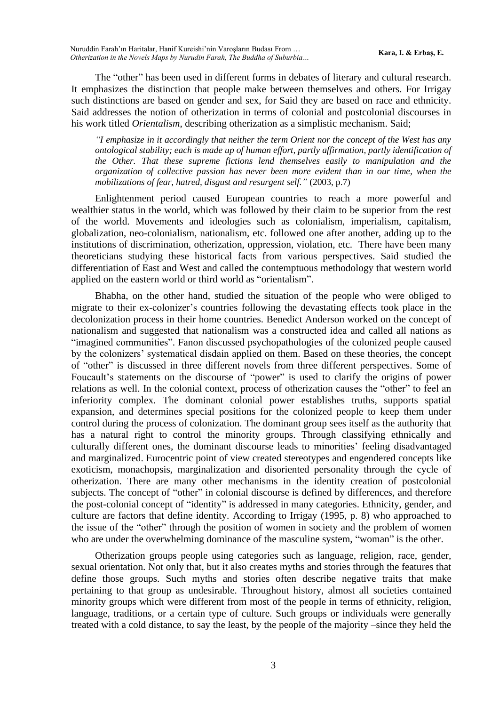The "other" has been used in different forms in debates of literary and cultural research. It emphasizes the distinction that people make between themselves and others. For Irrigay such distinctions are based on gender and sex, for Said they are based on race and ethnicity. Said addresses the notion of otherization in terms of colonial and postcolonial discourses in his work titled *Orientalism*, describing otherization as a simplistic mechanism. Said;

*"I emphasize in it accordingly that neither the term Orient nor the concept of the West has any ontological stability; each is made up of human effort, partly affirmation, partly identification of the Other. That these supreme fictions lend themselves easily to manipulation and the organization of collective passion has never been more evident than in our time, when the mobilizations of fear, hatred, disgust and resurgent self."* (2003, p.7)

Enlightenment period caused European countries to reach a more powerful and wealthier status in the world, which was followed by their claim to be superior from the rest of the world. Movements and ideologies such as colonialism, imperialism, capitalism, globalization, neo-colonialism, nationalism, etc. followed one after another, adding up to the institutions of discrimination, otherization, oppression, violation, etc. There have been many theoreticians studying these historical facts from various perspectives. Said studied the differentiation of East and West and called the contemptuous methodology that western world applied on the eastern world or third world as "orientalism".

Bhabha, on the other hand, studied the situation of the people who were obliged to migrate to their ex-colonizer's countries following the devastating effects took place in the decolonization process in their home countries. Benedict Anderson worked on the concept of nationalism and suggested that nationalism was a constructed idea and called all nations as "imagined communities". Fanon discussed psychopathologies of the colonized people caused by the colonizers' systematical disdain applied on them. Based on these theories, the concept of "other" is discussed in three different novels from three different perspectives. Some of Foucault's statements on the discourse of "power" is used to clarify the origins of power relations as well. In the colonial context, process of otherization causes the "other" to feel an inferiority complex. The dominant colonial power establishes truths, supports spatial expansion, and determines special positions for the colonized people to keep them under control during the process of colonization. The dominant group sees itself as the authority that has a natural right to control the minority groups. Through classifying ethnically and culturally different ones, the dominant discourse leads to minorities' feeling disadvantaged and marginalized. Eurocentric point of view created stereotypes and engendered concepts like exoticism, monachopsis, marginalization and disoriented personality through the cycle of otherization. There are many other mechanisms in the identity creation of postcolonial subjects. The concept of "other" in colonial discourse is defined by differences, and therefore the post-colonial concept of "identity" is addressed in many categories. Ethnicity, gender, and culture are factors that define identity. According to Irrigay (1995, p. 8) who approached to the issue of the "other" through the position of women in society and the problem of women who are under the overwhelming dominance of the masculine system, "woman" is the other.

Otherization groups people using categories such as language, religion, race, gender, sexual orientation. Not only that, but it also creates myths and stories through the features that define those groups. Such myths and stories often describe negative traits that make pertaining to that group as undesirable. Throughout history, almost all societies contained minority groups which were different from most of the people in terms of ethnicity, religion, language, traditions, or a certain type of culture. Such groups or individuals were generally treated with a cold distance, to say the least, by the people of the majority –since they held the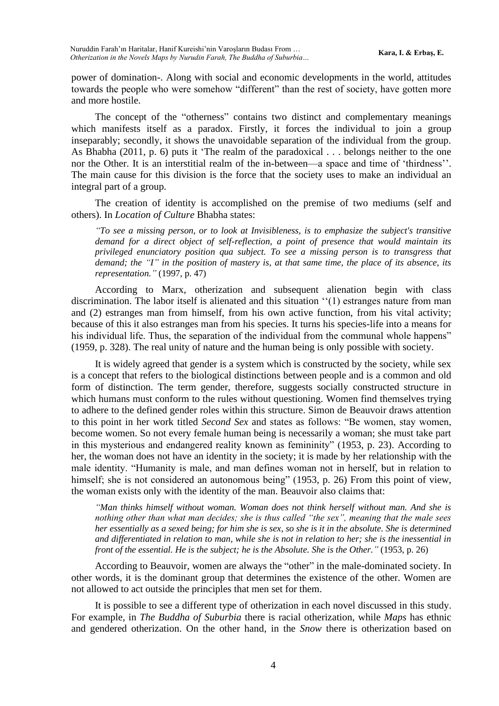power of domination-. Along with social and economic developments in the world, attitudes towards the people who were somehow "different" than the rest of society, have gotten more and more hostile.

The concept of the "otherness" contains two distinct and complementary meanings which manifests itself as a paradox. Firstly, it forces the individual to join a group inseparably; secondly, it shows the unavoidable separation of the individual from the group. As Bhabha (2011, p. 6) puts it 'The realm of the paradoxical . . . belongs neither to the one nor the Other. It is an interstitial realm of the in-between—a space and time of 'thirdness''. The main cause for this division is the force that the society uses to make an individual an integral part of a group.

The creation of identity is accomplished on the premise of two mediums (self and others). In *Location of Culture* Bhabha states:

*"To see a missing person, or to look at Invisibleness, is to emphasize the subject's transitive demand for a direct object of self-reflection, a point of presence that would maintain its privileged enunciatory position qua subject. To see a missing person is to transgress that demand; the "I" in the position of mastery is, at that same time, the place of its absence, its representation."* (1997, p. 47)

According to Marx, otherization and subsequent alienation begin with class discrimination. The labor itself is alienated and this situation ''(1) estranges nature from man and (2) estranges man from himself, from his own active function, from his vital activity; because of this it also estranges man from his species. It turns his species-life into a means for his individual life. Thus, the separation of the individual from the communal whole happens" (1959, p. 328). The real unity of nature and the human being is only possible with society.

It is widely agreed that gender is a system which is constructed by the society, while sex is a concept that refers to the biological distinctions between people and is a common and old form of distinction. The term gender, therefore, suggests socially constructed structure in which humans must conform to the rules without questioning. Women find themselves trying to adhere to the defined gender roles within this structure. Simon de Beauvoir draws attention to this point in her work titled *Second Sex* and states as follows: "Be women, stay women, become women. So not every female human being is necessarily a woman; she must take part in this mysterious and endangered reality known as femininity" (1953, p. 23). According to her, the woman does not have an identity in the society; it is made by her relationship with the male identity. "Humanity is male, and man defines woman not in herself, but in relation to himself; she is not considered an autonomous being" (1953, p. 26) From this point of view, the woman exists only with the identity of the man. Beauvoir also claims that:

*"Man thinks himself without woman. Woman does not think herself without man. And she is nothing other than what man decides; she is thus called "the sex", meaning that the male sees her essentially as a sexed being; for him she is sex, so she is it in the absolute. She is determined and differentiated in relation to man, while she is not in relation to her; she is the inessential in front of the essential. He is the subject; he is the Absolute. She is the Other."* (1953, p. 26)

According to Beauvoir, women are always the "other" in the male-dominated society. In other words, it is the dominant group that determines the existence of the other. Women are not allowed to act outside the principles that men set for them.

It is possible to see a different type of otherization in each novel discussed in this study. For example, in *The Buddha of Suburbia* there is racial otherization, while *Maps* has ethnic and gendered otherization. On the other hand, in the *Snow* there is otherization based on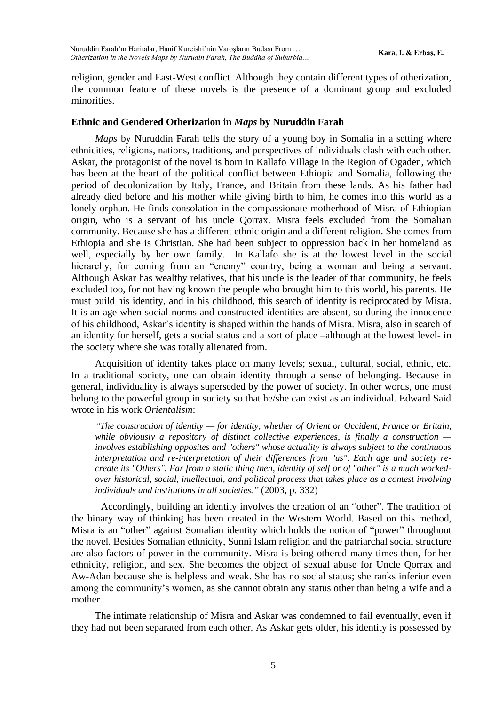religion, gender and East-West conflict. Although they contain different types of otherization, the common feature of these novels is the presence of a dominant group and excluded minorities.

### **Ethnic and Gendered Otherization in** *Maps* **by Nuruddin Farah**

*Maps* by Nuruddin Farah tells the story of a young boy in Somalia in a setting where ethnicities, religions, nations, traditions, and perspectives of individuals clash with each other. Askar, the protagonist of the novel is born in Kallafo Village in the Region of Ogaden, which has been at the heart of the political conflict between Ethiopia and Somalia, following the period of decolonization by Italy, France, and Britain from these lands. As his father had already died before and his mother while giving birth to him, he comes into this world as a lonely orphan. He finds consolation in the compassionate motherhood of Misra of Ethiopian origin, who is a servant of his uncle Qorrax. Misra feels excluded from the Somalian community. Because she has a different ethnic origin and a different religion. She comes from Ethiopia and she is Christian. She had been subject to oppression back in her homeland as well, especially by her own family. In Kallafo she is at the lowest level in the social hierarchy, for coming from an "enemy" country, being a woman and being a servant. Although Askar has wealthy relatives, that his uncle is the leader of that community, he feels excluded too, for not having known the people who brought him to this world, his parents. He must build his identity, and in his childhood, this search of identity is reciprocated by Misra. It is an age when social norms and constructed identities are absent, so during the innocence of his childhood, Askar's identity is shaped within the hands of Misra. Misra, also in search of an identity for herself, gets a social status and a sort of place –although at the lowest level- in the society where she was totally alienated from.

Acquisition of identity takes place on many levels; sexual, cultural, social, ethnic, etc. In a traditional society, one can obtain identity through a sense of belonging. Because in general, individuality is always superseded by the power of society. In other words, one must belong to the powerful group in society so that he/she can exist as an individual. Edward Said wrote in his work *Orientalism*:

*"The construction of identity — for identity, whether of Orient or Occident, France or Britain, while obviously a repository of distinct collective experiences, is finally a construction involves establishing opposites and "others" whose actuality is always subject to the continuous interpretation and re-interpretation of their differences from "us". Each age and society recreate its "Others". Far from a static thing then, identity of self or of "other" is a much workedover historical, social, intellectual, and political process that takes place as a contest involving individuals and institutions in all societies."* (2003, p. 332)

Accordingly, building an identity involves the creation of an "other". The tradition of the binary way of thinking has been created in the Western World. Based on this method, Misra is an "other" against Somalian identity which holds the notion of "power" throughout the novel. Besides Somalian ethnicity, Sunni Islam religion and the patriarchal social structure are also factors of power in the community. Misra is being othered many times then, for her ethnicity, religion, and sex. She becomes the object of sexual abuse for Uncle Qorrax and Aw-Adan because she is helpless and weak. She has no social status; she ranks inferior even among the community's women, as she cannot obtain any status other than being a wife and a mother.

The intimate relationship of Misra and Askar was condemned to fail eventually, even if they had not been separated from each other. As Askar gets older, his identity is possessed by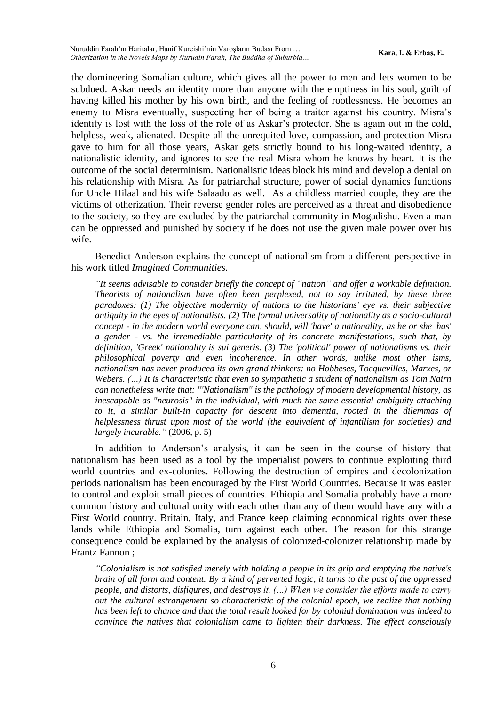the domineering Somalian culture, which gives all the power to men and lets women to be subdued. Askar needs an identity more than anyone with the emptiness in his soul, guilt of having killed his mother by his own birth, and the feeling of rootlessness. He becomes an enemy to Misra eventually, suspecting her of being a traitor against his country. Misra's identity is lost with the loss of the role of as Askar's protector. She is again out in the cold, helpless, weak, alienated. Despite all the unrequited love, compassion, and protection Misra gave to him for all those years, Askar gets strictly bound to his long-waited identity, a nationalistic identity, and ignores to see the real Misra whom he knows by heart. It is the outcome of the social determinism. Nationalistic ideas block his mind and develop a denial on his relationship with Misra. As for patriarchal structure, power of social dynamics functions for Uncle Hilaal and his wife Salaado as well. As a childless married couple, they are the victims of otherization. Their reverse gender roles are perceived as a threat and disobedience to the society, so they are excluded by the patriarchal community in Mogadishu. Even a man can be oppressed and punished by society if he does not use the given male power over his wife.

Benedict Anderson explains the concept of nationalism from a different perspective in his work titled *Imagined Communities.*

*"It seems advisable to consider briefly the concept of "nation" and offer a workable definition. Theorists of nationalism have often been perplexed, not to say irritated, by these three paradoxes: (1) The objective modernity of nations to the historians' eye vs. their subjective antiquity in the eyes of nationalists. (2) The formal universality of nationality as a socio-cultural concept - in the modern world everyone can, should, will 'have' a nationality, as he or she 'has' a gender - vs. the irremediable particularity of its concrete manifestations, such that, by definition, 'Greek' nationality is sui generis. (3) The 'political' power of nationalisms vs. their philosophical poverty and even incoherence. In other words, unlike most other isms, nationalism has never produced its own grand thinkers: no Hobbeses, Tocquevilles, Marxes, or Webers. (…) It is characteristic that even so sympathetic a student of nationalism as Tom Nairn can nonetheless write that: '''Nationalism'' is the pathology of modern developmental history, as inescapable as "neurosis" in the individual, with much the same essential ambiguity attaching to it, a similar built-in capacity for descent into dementia, rooted in the dilemmas of helplessness thrust upon most of the world (the equivalent of infantilism for societies) and largely incurable."* (2006, p. 5)

In addition to Anderson's analysis, it can be seen in the course of history that nationalism has been used as a tool by the imperialist powers to continue exploiting third world countries and ex-colonies. Following the destruction of empires and decolonization periods nationalism has been encouraged by the First World Countries. Because it was easier to control and exploit small pieces of countries. Ethiopia and Somalia probably have a more common history and cultural unity with each other than any of them would have any with a First World country. Britain, Italy, and France keep claiming economical rights over these lands while Ethiopia and Somalia, turn against each other. The reason for this strange consequence could be explained by the analysis of colonized-colonizer relationship made by Frantz Fannon ;

*"Colonialism is not satisfied merely with holding a people in its grip and emptying the native's brain of all form and content. By a kind of perverted logic, it turns to the past of the oppressed people, and distorts, disfigures, and destroys it. (…) When we consider the efforts made to carry out the cultural estrangement so characteristic of the colonial epoch, we realize that nothing has been left to chance and that the total result looked for by colonial domination was indeed to convince the natives that colonialism came to lighten their darkness. The effect consciously*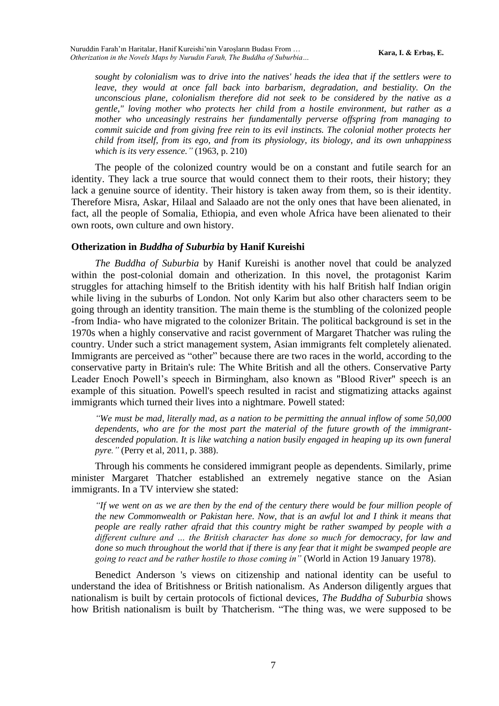*sought by colonialism was to drive into the natives' heads the idea that if the settlers were to leave, they would at once fall back into barbarism, degradation, and bestiality. On the unconscious plane, colonialism therefore did not seek to be considered by the native as a gentle," loving mother who protects her child from a hostile environment, but rather as a mother who unceasingly restrains her fundamentally perverse offspring from managing to commit suicide and from giving free rein to its evil instincts. The colonial mother protects her child from itself, from its ego, and from its physiology, its biology, and its own unhappiness which is its very essence."* (1963, p. 210)

The people of the colonized country would be on a constant and futile search for an identity. They lack a true source that would connect them to their roots, their history; they lack a genuine source of identity. Their history is taken away from them, so is their identity. Therefore Misra, Askar, Hilaal and Salaado are not the only ones that have been alienated, in fact, all the people of Somalia, Ethiopia, and even whole Africa have been alienated to their own roots, own culture and own history.

#### **Otherization in** *Buddha of Suburbia* **by Hanif Kureishi**

*The Buddha of Suburbia* by Hanif Kureishi is another novel that could be analyzed within the post-colonial domain and otherization. In this novel, the protagonist Karim struggles for attaching himself to the British identity with his half British half Indian origin while living in the suburbs of London. Not only Karim but also other characters seem to be going through an identity transition. The main theme is the stumbling of the colonized people -from India- who have migrated to the colonizer Britain. The political background is set in the 1970s when a highly conservative and racist government of Margaret Thatcher was ruling the country. Under such a strict management system, Asian immigrants felt completely alienated. Immigrants are perceived as "other" because there are two races in the world, according to the conservative party in Britain's rule: The White British and all the others. Conservative Party Leader Enoch Powell's speech in Birmingham, also known as "Blood River" speech is an example of this situation. Powell's speech resulted in racist and stigmatizing attacks against immigrants which turned their lives into a nightmare. Powell stated:

*"We must be mad, literally mad, as a nation to be permitting the annual inflow of some 50,000 dependents, who are for the most part the material of the future growth of the immigrantdescended population. It is like watching a nation busily engaged in heaping up its own funeral pyre."* (Perry et al, 2011, p. 388).

Through his comments he considered immigrant people as dependents. Similarly, prime minister Margaret Thatcher established an extremely negative stance on the Asian immigrants. In a TV interview she stated:

*"If we went on as we are then by the end of the century there would be four million people of the new Commonwealth or Pakistan here. Now, that is an awful lot and I think it means that people are really rather afraid that this country might be rather swamped by people with a different culture and … the British character has done so much for democracy, for law and done so much throughout the world that if there is any fear that it might be swamped people are going to react and be rather hostile to those coming in"* (World in Action 19 January 1978).

Benedict Anderson 's views on citizenship and national identity can be useful to understand the idea of Britishness or British nationalism. As Anderson diligently argues that nationalism is built by certain protocols of fictional devices, *The Buddha of Suburbia* shows how British nationalism is built by Thatcherism. "The thing was, we were supposed to be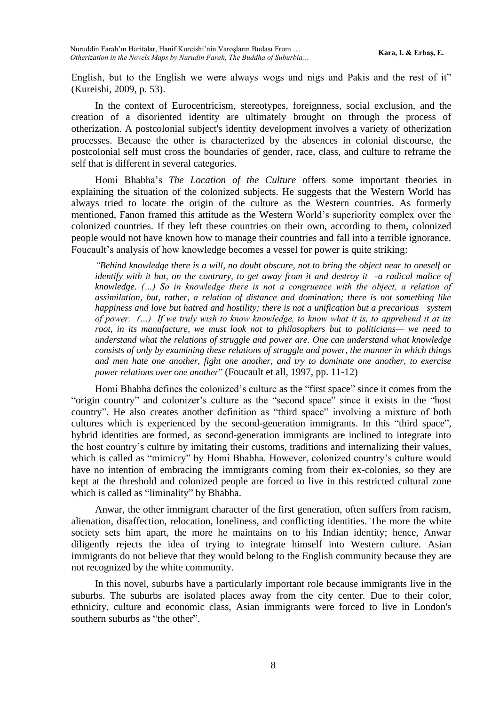English, but to the English we were always wogs and nigs and Pakis and the rest of it" (Kureishi, 2009, p. 53).

In the context of Eurocentricism, stereotypes, foreignness, social exclusion, and the creation of a disoriented identity are ultimately brought on through the process of otherization. A postcolonial subject's identity development involves a variety of otherization processes. Because the other is characterized by the absences in colonial discourse, the postcolonial self must cross the boundaries of gender, race, class, and culture to reframe the self that is different in several categories.

Homi Bhabha's *The Location of the Culture* offers some important theories in explaining the situation of the colonized subjects. He suggests that the Western World has always tried to locate the origin of the culture as the Western countries. As formerly mentioned, Fanon framed this attitude as the Western World's superiority complex over the colonized countries. If they left these countries on their own, according to them, colonized people would not have known how to manage their countries and fall into a terrible ignorance. Foucault's analysis of how knowledge becomes a vessel for power is quite striking:

*"Behind knowledge there is a will, no doubt obscure, not to bring the object near to oneself or identify with it but, on the contrary, to get away from it and destroy it -a radical malice of knowledge. (…) So in knowledge there is not a congruence with the object, a relation of assimilation, but, rather, a relation of distance and domination; there is not something like happiness and love but hatred and hostility; there is not a unification but a precarious system of power. (…) If we truly wish to know knowledge, to know what it is, to apprehend it at its root, in its manufacture, we must look not to philosophers but to politicians— we need to understand what the relations of struggle and power are. One can understand what knowledge consists of only by examining these relations of struggle and power, the manner in which things and men hate one another, fight one another, and try to dominate one another, to exercise power relations over one another*" (Foucault et all, 1997, pp. 11-12)

Homi Bhabha defines the colonized's culture as the "first space" since it comes from the "origin country" and colonizer's culture as the "second space" since it exists in the "host country". He also creates another definition as "third space" involving a mixture of both cultures which is experienced by the second-generation immigrants. In this "third space", hybrid identities are formed, as second-generation immigrants are inclined to integrate into the host country's culture by imitating their customs, traditions and internalizing their values, which is called as "mimicry" by Homi Bhabha. However, colonized country's culture would have no intention of embracing the immigrants coming from their ex-colonies, so they are kept at the threshold and colonized people are forced to live in this restricted cultural zone which is called as "liminality" by Bhabha.

Anwar, the other immigrant character of the first generation, often suffers from racism, alienation, disaffection, relocation, loneliness, and conflicting identities. The more the white society sets him apart, the more he maintains on to his Indian identity; hence, Anwar diligently rejects the idea of trying to integrate himself into Western culture. Asian immigrants do not believe that they would belong to the English community because they are not recognized by the white community.

In this novel, suburbs have a particularly important role because immigrants live in the suburbs. The suburbs are isolated places away from the city center. Due to their color, ethnicity, culture and economic class, Asian immigrants were forced to live in London's southern suburbs as "the other".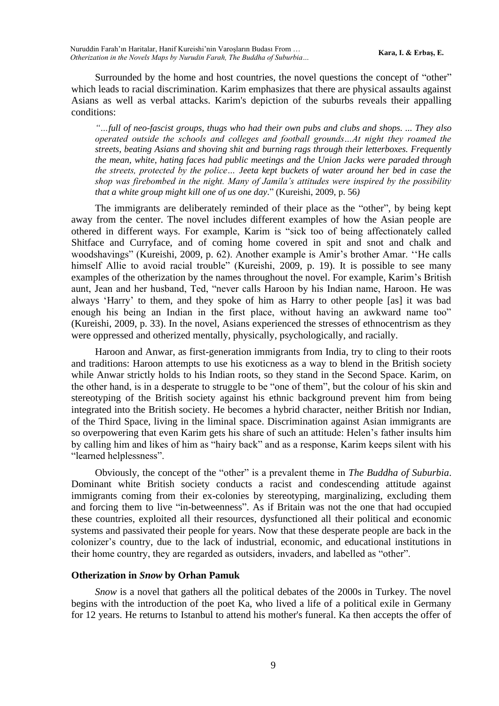Surrounded by the home and host countries, the novel questions the concept of "other" which leads to racial discrimination. Karim emphasizes that there are physical assaults against Asians as well as verbal attacks. Karim's depiction of the suburbs reveals their appalling conditions:

*"…full of neo-fascist groups, thugs who had their own pubs and clubs and shops. ... They also operated outside the schools and colleges and football grounds…At night they roamed the streets, beating Asians and shoving shit and burning rags through their letterboxes. Frequently the mean, white, hating faces had public meetings and the Union Jacks were paraded through the streets, protected by the police… Jeeta kept buckets of water around her bed in case the shop was firebombed in the night. Many of Jamila's attitudes were inspired by the possibility that a white group might kill one of us one day*." (Kureishi, 2009, p. 56*)* 

The immigrants are deliberately reminded of their place as the "other", by being kept away from the center. The novel includes different examples of how the Asian people are othered in different ways. For example, Karim is "sick too of being affectionately called Shitface and Curryface, and of coming home covered in spit and snot and chalk and woodshavings" (Kureishi, 2009, p. 62). Another example is Amir's brother Amar. ''He calls himself Allie to avoid racial trouble" (Kureishi, 2009, p. 19). It is possible to see many examples of the otherization by the names throughout the novel. For example, Karim's British aunt, Jean and her husband, Ted, "never calls Haroon by his Indian name, Haroon. He was always 'Harry' to them, and they spoke of him as Harry to other people [as] it was bad enough his being an Indian in the first place, without having an awkward name too" (Kureishi, 2009, p. 33). In the novel, Asians experienced the stresses of ethnocentrism as they were oppressed and otherized mentally, physically, psychologically, and racially.

Haroon and Anwar, as first-generation immigrants from India, try to cling to their roots and traditions: Haroon attempts to use his exoticness as a way to blend in the British society while Anwar strictly holds to his Indian roots, so they stand in the Second Space. Karim, on the other hand, is in a desperate to struggle to be "one of them", but the colour of his skin and stereotyping of the British society against his ethnic background prevent him from being integrated into the British society. He becomes a hybrid character, neither British nor Indian, of the Third Space, living in the liminal space. Discrimination against Asian immigrants are so overpowering that even Karim gets his share of such an attitude: Helen's father insults him by calling him and likes of him as "hairy back" and as a response, Karim keeps silent with his "learned helplessness".

Obviously, the concept of the "other" is a prevalent theme in *The Buddha of Suburbia*. Dominant white British society conducts a racist and condescending attitude against immigrants coming from their ex-colonies by stereotyping, marginalizing, excluding them and forcing them to live "in-betweenness". As if Britain was not the one that had occupied these countries, exploited all their resources, dysfunctioned all their political and economic systems and passivated their people for years. Now that these desperate people are back in the colonizer's country, due to the lack of industrial, economic, and educational institutions in their home country, they are regarded as outsiders, invaders, and labelled as "other".

### **Otherization in** *Snow* **by Orhan Pamuk**

*Snow* is a novel that gathers all the political debates of the 2000s in Turkey. The novel begins with the introduction of the poet Ka, who lived a life of a political exile in Germany for 12 years. He returns to Istanbul to attend his mother's funeral. Ka then accepts the offer of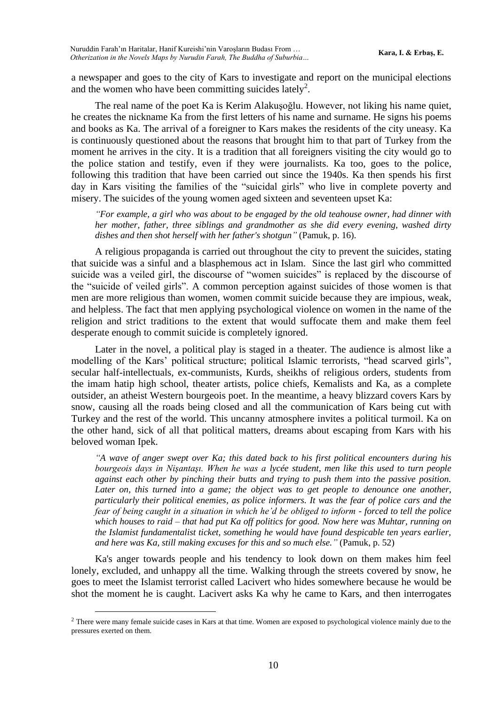a newspaper and goes to the city of Kars to investigate and report on the municipal elections and the women who have been committing suicides lately<sup>2</sup>.

The real name of the poet Ka is Kerim Alakuşoğlu. However, not liking his name quiet, he creates the nickname Ka from the first letters of his name and surname. He signs his poems and books as Ka. The arrival of a foreigner to Kars makes the residents of the city uneasy. Ka is continuously questioned about the reasons that brought him to that part of Turkey from the moment he arrives in the city. It is a tradition that all foreigners visiting the city would go to the police station and testify, even if they were journalists. Ka too, goes to the police, following this tradition that have been carried out since the 1940s. Ka then spends his first day in Kars visiting the families of the "suicidal girls" who live in complete poverty and misery. The suicides of the young women aged sixteen and seventeen upset Ka:

*"For example, a girl who was about to be engaged by the old teahouse owner, had dinner with her mother, father, three siblings and grandmother as she did every evening, washed dirty dishes and then shot herself with her father's shotgun"* (Pamuk, p. 16).

A religious propaganda is carried out throughout the city to prevent the suicides, stating that suicide was a sinful and a blasphemous act in Islam. Since the last girl who committed suicide was a veiled girl, the discourse of "women suicides" is replaced by the discourse of the "suicide of veiled girls". A common perception against suicides of those women is that men are more religious than women, women commit suicide because they are impious, weak, and helpless. The fact that men applying psychological violence on women in the name of the religion and strict traditions to the extent that would suffocate them and make them feel desperate enough to commit suicide is completely ignored.

Later in the novel, a political play is staged in a theater. The audience is almost like a modelling of the Kars' political structure; political Islamic terrorists, "head scarved girls", secular half-intellectuals, ex-communists, Kurds, sheikhs of religious orders, students from the imam hatip high school, theater artists, police chiefs, Kemalists and Ka, as a complete outsider, an atheist Western bourgeois poet. In the meantime, a heavy blizzard covers Kars by snow, causing all the roads being closed and all the communication of Kars being cut with Turkey and the rest of the world. This uncanny atmosphere invites a political turmoil. Ka on the other hand, sick of all that political matters, dreams about escaping from Kars with his beloved woman Ipek.

*"A wave of anger swept over Ka; this dated back to his first political encounters during his bourgeois days in Nişantaşı. When he was a lycée student, men like this used to turn people against each other by pinching their butts and trying to push them into the passive position.*  Later on, this turned into a game; the object was to get people to denounce one another, *particularly their political enemies, as police informers. It was the fear of police cars and the fear of being caught in a situation in which he'd be obliged to inform - forced to tell the police which houses to raid – that had put Ka off politics for good. Now here was Muhtar, running on the Islamist fundamentalist ticket, something he would have found despicable ten years earlier, and here was Ka, still making excuses for this and so much else."* (Pamuk, p. 52)

Ka's anger towards people and his tendency to look down on them makes him feel lonely, excluded, and unhappy all the time. Walking through the streets covered by snow, he goes to meet the Islamist terrorist called Lacivert who hides somewhere because he would be shot the moment he is caught. Lacivert asks Ka why he came to Kars, and then interrogates

 $<sup>2</sup>$  There were many female suicide cases in Kars at that time. Women are exposed to psychological violence mainly due to the</sup> pressures exerted on them.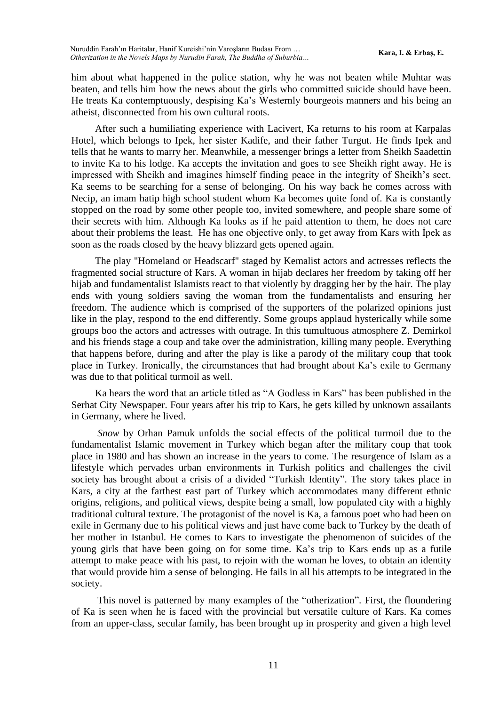him about what happened in the police station, why he was not beaten while Muhtar was beaten, and tells him how the news about the girls who committed suicide should have been. He treats Ka contemptuously, despising Ka's Westernly bourgeois manners and his being an atheist, disconnected from his own cultural roots.

After such a humiliating experience with Lacivert, Ka returns to his room at Karpalas Hotel, which belongs to Ipek, her sister Kadife, and their father Turgut. He finds Ipek and tells that he wants to marry her. Meanwhile, a messenger brings a letter from Sheikh Saadettin to invite Ka to his lodge. Ka accepts the invitation and goes to see Sheikh right away. He is impressed with Sheikh and imagines himself finding peace in the integrity of Sheikh's sect. Ka seems to be searching for a sense of belonging. On his way back he comes across with Necip, an imam hatip high school student whom Ka becomes quite fond of. Ka is constantly stopped on the road by some other people too, invited somewhere, and people share some of their secrets with him. Although Ka looks as if he paid attention to them, he does not care about their problems the least. He has one objective only, to get away from Kars with İpek as soon as the roads closed by the heavy blizzard gets opened again.

The play "Homeland or Headscarf" staged by Kemalist actors and actresses reflects the fragmented social structure of Kars. A woman in hijab declares her freedom by taking off her hijab and fundamentalist Islamists react to that violently by dragging her by the hair. The play ends with young soldiers saving the woman from the fundamentalists and ensuring her freedom. The audience which is comprised of the supporters of the polarized opinions just like in the play, respond to the end differently. Some groups applaud hysterically while some groups boo the actors and actresses with outrage. In this tumultuous atmosphere Z. Demirkol and his friends stage a coup and take over the administration, killing many people. Everything that happens before, during and after the play is like a parody of the military coup that took place in Turkey. Ironically, the circumstances that had brought about Ka's exile to Germany was due to that political turmoil as well.

Ka hears the word that an article titled as "A Godless in Kars" has been published in the Serhat City Newspaper. Four years after his trip to Kars, he gets killed by unknown assailants in Germany, where he lived.

*Snow* by Orhan Pamuk unfolds the social effects of the political turmoil due to the fundamentalist Islamic movement in Turkey which began after the military coup that took place in 1980 and has shown an increase in the years to come. The resurgence of Islam as a lifestyle which pervades urban environments in Turkish politics and challenges the civil society has brought about a crisis of a divided "Turkish Identity". The story takes place in Kars, a city at the farthest east part of Turkey which accommodates many different ethnic origins, religions, and political views, despite being a small, low populated city with a highly traditional cultural texture. The protagonist of the novel is Ka, a famous poet who had been on exile in Germany due to his political views and just have come back to Turkey by the death of her mother in Istanbul. He comes to Kars to investigate the phenomenon of suicides of the young girls that have been going on for some time. Ka's trip to Kars ends up as a futile attempt to make peace with his past, to rejoin with the woman he loves, to obtain an identity that would provide him a sense of belonging. He fails in all his attempts to be integrated in the society.

This novel is patterned by many examples of the "otherization". First, the floundering of Ka is seen when he is faced with the provincial but versatile culture of Kars. Ka comes from an upper-class, secular family, has been brought up in prosperity and given a high level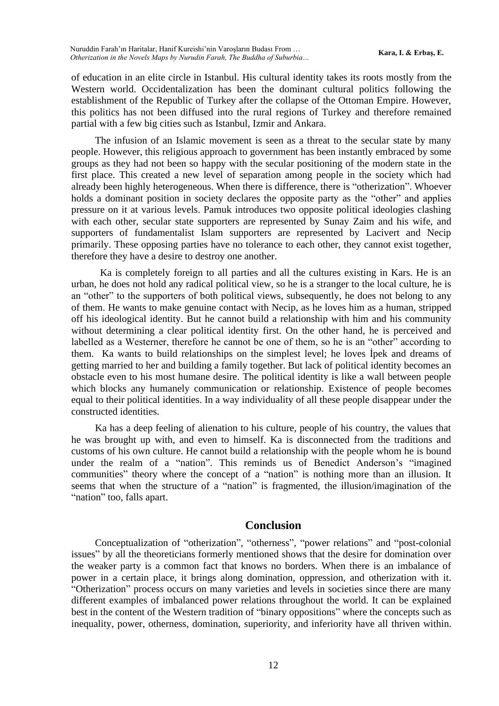of education in an elite circle in Istanbul. His cultural identity takes its roots mostly from the Western world. Occidentalization has been the dominant cultural politics following the establishment of the Republic of Turkey after the collapse of the Ottoman Empire. However, this politics has not been diffused into the rural regions of Turkey and therefore remained partial with a few big cities such as Istanbul, Izmir and Ankara.

The infusion of an Islamic movement is seen as a threat to the secular state by many people. However, this religious approach to government has been instantly embraced by some groups as they had not been so happy with the secular positioning of the modern state in the first place. This created a new level of separation among people in the society which had already been highly heterogeneous. When there is difference, there is "otherization". Whoever holds a dominant position in society declares the opposite party as the "other" and applies pressure on it at various levels. Pamuk introduces two opposite political ideologies clashing with each other, secular state supporters are represented by Sunay Zaim and his wife, and supporters of fundamentalist Islam supporters are represented by Lacivert and Necip primarily. These opposing parties have no tolerance to each other, they cannot exist together, therefore they have a desire to destroy one another.

 Ka is completely foreign to all parties and all the cultures existing in Kars. He is an urban, he does not hold any radical political view, so he is a stranger to the local culture, he is an "other" to the supporters of both political views, subsequently, he does not belong to any of them. He wants to make genuine contact with Necip, as he loves him as a human, stripped off his ideological identity. But he cannot build a relationship with him and his community without determining a clear political identity first. On the other hand, he is perceived and labelled as a Westerner, therefore he cannot be one of them, so he is an "other" according to them. Ka wants to build relationships on the simplest level; he loves İpek and dreams of getting married to her and building a family together. But lack of political identity becomes an obstacle even to his most humane desire. The political identity is like a wall between people which blocks any humanely communication or relationship. Existence of people becomes equal to their political identities. In a way individuality of all these people disappear under the constructed identities.

Ka has a deep feeling of alienation to his culture, people of his country, the values that he was brought up with, and even to himself. Ka is disconnected from the traditions and customs of his own culture. He cannot build a relationship with the people whom he is bound under the realm of a "nation". This reminds us of Benedict Anderson's "imagined communities" theory where the concept of a "nation" is nothing more than an illusion. It seems that when the structure of a "nation" is fragmented, the illusion/imagination of the "nation" too, falls apart.

### **Conclusion**

Conceptualization of "otherization", "otherness", "power relations" and "post-colonial issues" by all the theoreticians formerly mentioned shows that the desire for domination over the weaker party is a common fact that knows no borders. When there is an imbalance of power in a certain place, it brings along domination, oppression, and otherization with it. "Otherization" process occurs on many varieties and levels in societies since there are many different examples of imbalanced power relations throughout the world. It can be explained best in the content of the Western tradition of "binary oppositions" where the concepts such as inequality, power, otherness, domination, superiority, and inferiority have all thriven within.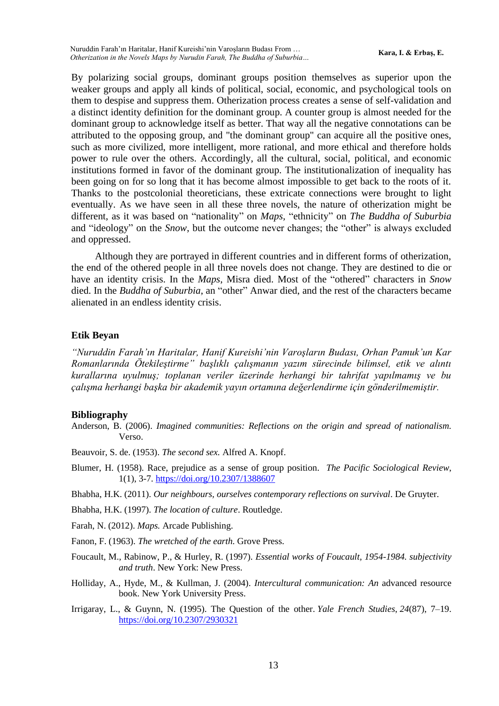By polarizing social groups, dominant groups position themselves as superior upon the weaker groups and apply all kinds of political, social, economic, and psychological tools on them to despise and suppress them. Otherization process creates a sense of self-validation and a distinct identity definition for the dominant group. A counter group is almost needed for the dominant group to acknowledge itself as better. That way all the negative connotations can be attributed to the opposing group, and "the dominant group" can acquire all the positive ones, such as more civilized, more intelligent, more rational, and more ethical and therefore holds power to rule over the others. Accordingly, all the cultural, social, political, and economic institutions formed in favor of the dominant group. The institutionalization of inequality has been going on for so long that it has become almost impossible to get back to the roots of it. Thanks to the postcolonial theoreticians, these extricate connections were brought to light eventually. As we have seen in all these three novels, the nature of otherization might be different, as it was based on "nationality" on *Maps,* "ethnicity" on *The Buddha of Suburbia* and "ideology" on the *Snow*, but the outcome never changes; the "other" is always excluded and oppressed.

Although they are portrayed in different countries and in different forms of otherization, the end of the othered people in all three novels does not change. They are destined to die or have an identity crisis. In the *Maps*, Misra died. Most of the "othered" characters in *Snow* died. In the *Buddha of Suburbia*, an "other" Anwar died, and the rest of the characters became alienated in an endless identity crisis.

#### **Etik Beyan**

*"Nuruddin Farah'ın Haritalar, Hanif Kureishi'nin Varoşların Budası, Orhan Pamuk'un Kar Romanlarında Ötekileştirme" başlıklı çalışmanın yazım sürecinde bilimsel, etik ve alıntı kurallarına uyulmuş; toplanan veriler üzerinde herhangi bir tahrifat yapılmamış ve bu çalışma herhangi başka bir akademik yayın ortamına değerlendirme için gönderilmemiştir.* 

#### **Bibliography**

Anderson, B. (2006). *Imagined communities: Reflections on the origin and spread of nationalism.* Verso.

Beauvoir, S. de. (1953). *The second sex.* Alfred A. Knopf.

Blumer, H. (1958). Race, prejudice as a sense of group position. *The Pacific Sociological Review*, 1(1), 3-7[. https://doi.org/10.2307/1388607](https://doi.org/10.2307/1388607)

Bhabha, H.K. (2011). *Our neighbours, ourselves contemporary reflections on survival*. De Gruyter.

Bhabha, H.K. (1997). *The location of culture*. Routledge.

Farah, N. (2012). *Maps.* Arcade Publishing.

Fanon, F. (1963). *The wretched of the earth.* Grove Press.

- Foucault, M., Rabinow, P., & Hurley, R. (1997). *Essential works of Foucault, 1954-1984. subjectivity and truth*. New York: New Press.
- Holliday, A., Hyde, M., & Kullman, J. (2004). *Intercultural communication: An* advanced resource book. New York University Press.
- Irrigaray, L., & Guynn, N. (1995). The Question of the other. *Yale French Studies*, *24*(87), 7–19. <https://doi.org/10.2307/2930321>